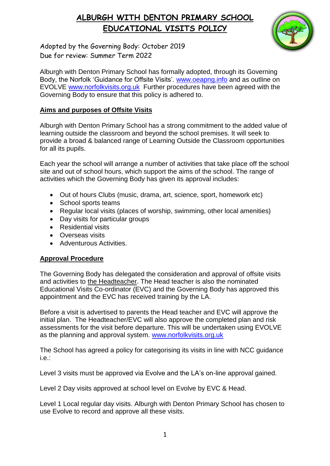

Adopted by the Governing Body: October 2019 Due for review: Summer Term 2022

Alburgh with Denton Primary School has formally adopted, through its Governing Body, the Norfolk 'Guidance for Offsite Visits'. [www.oeapng.info](http://www.oeapng.info/) and as outline on EVOLVE [www.norfolkvisits.org.uk](http://www.norfolkvisits.org.uk/) Further procedures have been agreed with the Governing Body to ensure that this policy is adhered to.

#### **Aims and purposes of Offsite Visits**

Alburgh with Denton Primary School has a strong commitment to the added value of learning outside the classroom and beyond the school premises. It will seek to provide a broad & balanced range of Learning Outside the Classroom opportunities for all its pupils.

Each year the school will arrange a number of activities that take place off the school site and out of school hours, which support the aims of the school. The range of activities which the Governing Body has given its approval includes:

- Out of hours Clubs (music, drama, art, science, sport, homework etc)
- School sports teams
- Regular local visits (places of worship, swimming, other local amenities)
- Day visits for particular groups
- Residential visits
- Overseas visits
- Adventurous Activities.

#### **Approval Procedure**

The Governing Body has delegated the consideration and approval of offsite visits and activities to the Headteacher. The Head teacher is also the nominated Educational Visits Co-ordinator (EVC) and the Governing Body has approved this appointment and the EVC has received training by the LA.

Before a visit is advertised to parents the Head teacher and EVC will approve the initial plan. The Headteacher/EVC will also approve the completed plan and risk assessments for the visit before departure. This will be undertaken using EVOLVE as the planning and approval system. [www.norfolkvisits.org.uk](http://www.norfolkvisits.org.uk/)

The School has agreed a policy for categorising its visits in line with NCC guidance i.e.:

Level 3 visits must be approved via Evolve and the LA's on-line approval gained.

Level 2 Day visits approved at school level on Evolve by EVC & Head.

Level 1 Local regular day visits. Alburgh with Denton Primary School has chosen to use Evolve to record and approve all these visits.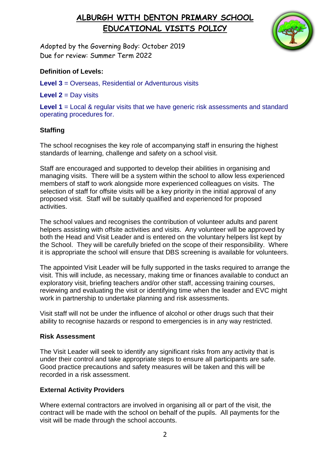

Adopted by the Governing Body: October 2019 Due for review: Summer Term 2022

### **Definition of Levels:**

**Level 3** = Overseas, Residential or Adventurous visits

**Level 2** = Day visits

Level 1 = Local & regular visits that we have generic risk assessments and standard operating procedures for.

### **Staffing**

The school recognises the key role of accompanying staff in ensuring the highest standards of learning, challenge and safety on a school visit.

Staff are encouraged and supported to develop their abilities in organising and managing visits. There will be a system within the school to allow less experienced members of staff to work alongside more experienced colleagues on visits. The selection of staff for offsite visits will be a key priority in the initial approval of any proposed visit. Staff will be suitably qualified and experienced for proposed activities.

The school values and recognises the contribution of volunteer adults and parent helpers assisting with offsite activities and visits. Any volunteer will be approved by both the Head and Visit Leader and is entered on the voluntary helpers list kept by the School. They will be carefully briefed on the scope of their responsibility. Where it is appropriate the school will ensure that DBS screening is available for volunteers.

The appointed Visit Leader will be fully supported in the tasks required to arrange the visit. This will include, as necessary, making time or finances available to conduct an exploratory visit, briefing teachers and/or other staff, accessing training courses, reviewing and evaluating the visit or identifying time when the leader and EVC might work in partnership to undertake planning and risk assessments.

Visit staff will not be under the influence of alcohol or other drugs such that their ability to recognise hazards or respond to emergencies is in any way restricted.

### **Risk Assessment**

The Visit Leader will seek to identify any significant risks from any activity that is under their control and take appropriate steps to ensure all participants are safe. Good practice precautions and safety measures will be taken and this will be recorded in a risk assessment.

### **External Activity Providers**

Where external contractors are involved in organising all or part of the visit, the contract will be made with the school on behalf of the pupils. All payments for the visit will be made through the school accounts.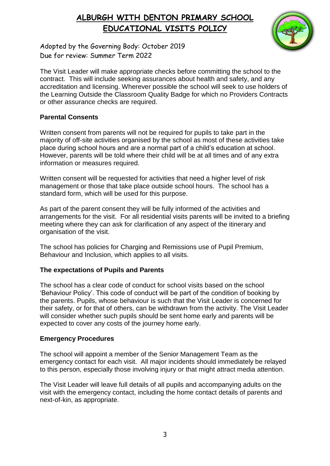

Adopted by the Governing Body: October 2019 Due for review: Summer Term 2022

The Visit Leader will make appropriate checks before committing the school to the contract. This will include seeking assurances about health and safety, and any accreditation and licensing. Wherever possible the school will seek to use holders of the Learning Outside the Classroom Quality Badge for which no Providers Contracts or other assurance checks are required.

### **Parental Consents**

Written consent from parents will not be required for pupils to take part in the majority of off-site activities organised by the school as most of these activities take place during school hours and are a normal part of a child's education at school. However, parents will be told where their child will be at all times and of any extra information or measures required.

Written consent will be requested for activities that need a higher level of risk management or those that take place outside school hours. The school has a standard form, which will be used for this purpose.

As part of the parent consent they will be fully informed of the activities and arrangements for the visit. For all residential visits parents will be invited to a briefing meeting where they can ask for clarification of any aspect of the itinerary and organisation of the visit.

The school has policies for Charging and Remissions use of Pupil Premium, Behaviour and Inclusion, which applies to all visits.

### **The expectations of Pupils and Parents**

The school has a clear code of conduct for school visits based on the school 'Behaviour Policy'. This code of conduct will be part of the condition of booking by the parents. Pupils, whose behaviour is such that the Visit Leader is concerned for their safety, or for that of others, can be withdrawn from the activity. The Visit Leader will consider whether such pupils should be sent home early and parents will be expected to cover any costs of the journey home early.

### **Emergency Procedures**

The school will appoint a member of the Senior Management Team as the emergency contact for each visit. All major incidents should immediately be relayed to this person, especially those involving injury or that might attract media attention.

The Visit Leader will leave full details of all pupils and accompanying adults on the visit with the emergency contact, including the home contact details of parents and next-of-kin, as appropriate.